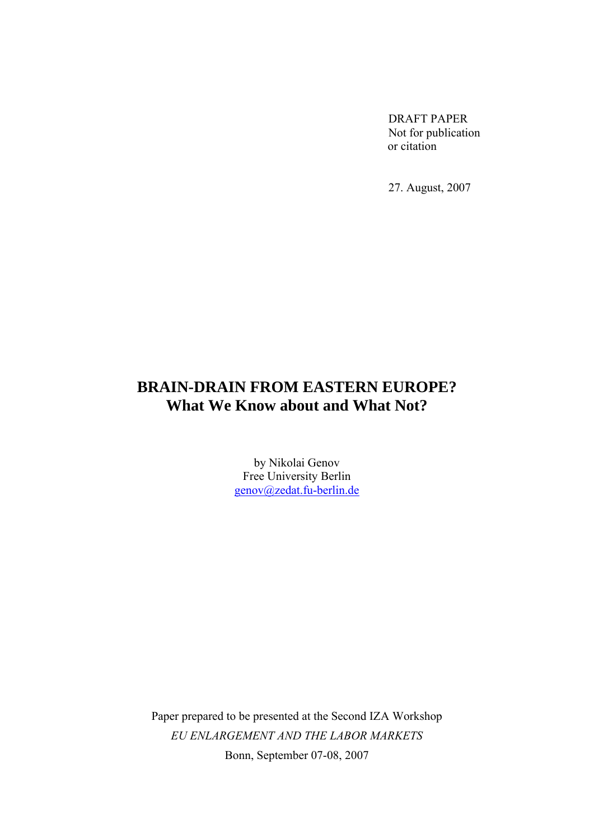DRAFT PAPER Not for publication or citation

27. August, 2007

# **BRAIN-DRAIN FROM EASTERN EUROPE? What We Know about and What Not?**

by Nikolai Genov Free University Berlin genov@zedat.fu-berlin.de

Paper prepared to be presented at the Second IZA Workshop *EU ENLARGEMENT AND THE LABOR MARKETS* Bonn, September 07-08, 2007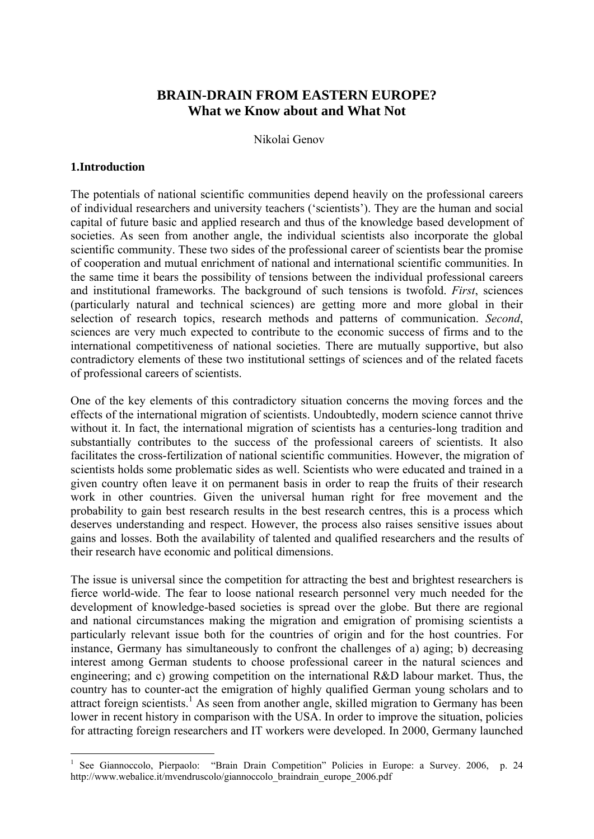## **BRAIN-DRAIN FROM EASTERN EUROPE? What we Know about and What Not**

Nikolai Genov

## **1.Introduction**

1

The potentials of national scientific communities depend heavily on the professional careers of individual researchers and university teachers ('scientists'). They are the human and social capital of future basic and applied research and thus of the knowledge based development of societies. As seen from another angle, the individual scientists also incorporate the global scientific community. These two sides of the professional career of scientists bear the promise of cooperation and mutual enrichment of national and international scientific communities. In the same time it bears the possibility of tensions between the individual professional careers and institutional frameworks. The background of such tensions is twofold. *First*, sciences (particularly natural and technical sciences) are getting more and more global in their selection of research topics, research methods and patterns of communication. *Second*, sciences are very much expected to contribute to the economic success of firms and to the international competitiveness of national societies. There are mutually supportive, but also contradictory elements of these two institutional settings of sciences and of the related facets of professional careers of scientists.

One of the key elements of this contradictory situation concerns the moving forces and the effects of the international migration of scientists. Undoubtedly, modern science cannot thrive without it. In fact, the international migration of scientists has a centuries-long tradition and substantially contributes to the success of the professional careers of scientists. It also facilitates the cross-fertilization of national scientific communities. However, the migration of scientists holds some problematic sides as well. Scientists who were educated and trained in a given country often leave it on permanent basis in order to reap the fruits of their research work in other countries. Given the universal human right for free movement and the probability to gain best research results in the best research centres, this is a process which deserves understanding and respect. However, the process also raises sensitive issues about gains and losses. Both the availability of talented and qualified researchers and the results of their research have economic and political dimensions.

The issue is universal since the competition for attracting the best and brightest researchers is fierce world-wide. The fear to loose national research personnel very much needed for the development of knowledge-based societies is spread over the globe. But there are regional and national circumstances making the migration and emigration of promising scientists a particularly relevant issue both for the countries of origin and for the host countries. For instance, Germany has simultaneously to confront the challenges of a) aging; b) decreasing interest among German students to choose professional career in the natural sciences and engineering; and c) growing competition on the international R&D labour market. Thus, the country has to counter-act the emigration of highly qualified German young scholars and to attract foreign scientists.<sup>1</sup> As seen from another angle, skilled migration to Germany has been lower in recent history in comparison with the USA. In order to improve the situation, policies for attracting foreign researchers and IT workers were developed. In 2000, Germany launched

<sup>&</sup>lt;sup>1</sup> See Giannoccolo, Pierpaolo: "Brain Drain Competition" Policies in Europe: a Survey. 2006, p. 24 http://www.webalice.it/mvendruscolo/giannoccolo\_braindrain\_europe\_2006.pdf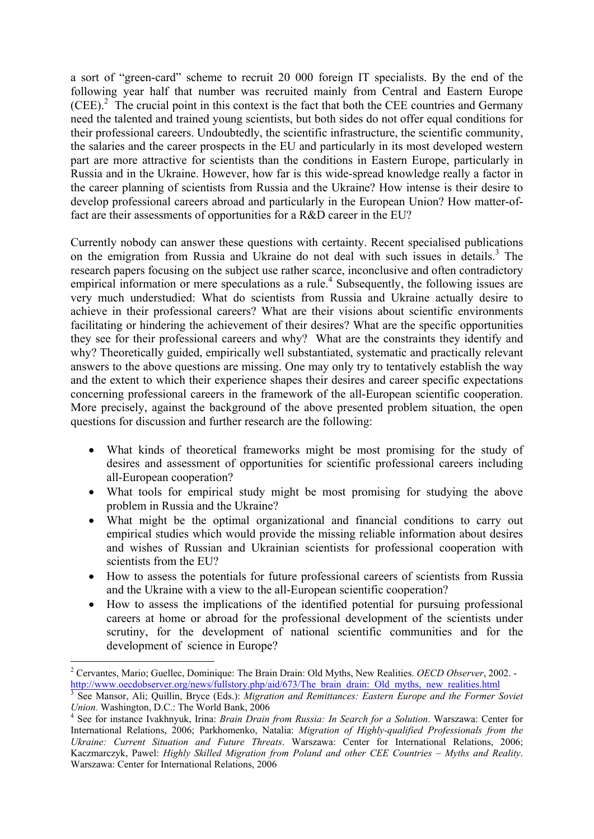a sort of "green-card" scheme to recruit 20 000 foreign IT specialists. By the end of the following year half that number was recruited mainly from Central and Eastern Europe  $(CEE)$ <sup>2</sup>. The crucial point in this context is the fact that both the CEE countries and Germany need the talented and trained young scientists, but both sides do not offer equal conditions for their professional careers. Undoubtedly, the scientific infrastructure, the scientific community, the salaries and the career prospects in the EU and particularly in its most developed western part are more attractive for scientists than the conditions in Eastern Europe, particularly in Russia and in the Ukraine. However, how far is this wide-spread knowledge really a factor in the career planning of scientists from Russia and the Ukraine? How intense is their desire to develop professional careers abroad and particularly in the European Union? How matter-offact are their assessments of opportunities for a R&D career in the EU?

Currently nobody can answer these questions with certainty. Recent specialised publications on the emigration from Russia and Ukraine do not deal with such issues in details.<sup>3</sup> The research papers focusing on the subject use rather scarce, inconclusive and often contradictory empirical information or mere speculations as a rule.<sup>4</sup> Subsequently, the following issues are very much understudied: What do scientists from Russia and Ukraine actually desire to achieve in their professional careers? What are their visions about scientific environments facilitating or hindering the achievement of their desires? What are the specific opportunities they see for their professional careers and why? What are the constraints they identify and why? Theoretically guided, empirically well substantiated, systematic and practically relevant answers to the above questions are missing. One may only try to tentatively establish the way and the extent to which their experience shapes their desires and career specific expectations concerning professional careers in the framework of the all-European scientific cooperation. More precisely, against the background of the above presented problem situation, the open questions for discussion and further research are the following:

- What kinds of theoretical frameworks might be most promising for the study of desires and assessment of opportunities for scientific professional careers including all-European cooperation?
- What tools for empirical study might be most promising for studying the above problem in Russia and the Ukraine?
- What might be the optimal organizational and financial conditions to carry out empirical studies which would provide the missing reliable information about desires and wishes of Russian and Ukrainian scientists for professional cooperation with scientists from the EU?
- How to assess the potentials for future professional careers of scientists from Russia and the Ukraine with a view to the all-European scientific cooperation?
- How to assess the implications of the identified potential for pursuing professional careers at home or abroad for the professional development of the scientists under scrutiny, for the development of national scientific communities and for the development of science in Europe?

1

<sup>2</sup> Cervantes, Mario; Guellec, Dominique: The Brain Drain: Old Myths, New Realities. *OECD Observer*, 2002. http://www.oecdobserver.org/news/fullstory.php/aid/673/The\_brain\_drain:\_Old\_myths,\_new\_realities.html

See Mansor, Ali; Quillin, Bryce (Eds.): *Migration and Remittances: Eastern Europe and the Former Soviet Union.* Washington, D.C.: The World Bank, 2006

See for instance Ivakhnyuk, Irina: *Brain Drain from Russia: In Search for a Solution*. Warszawa: Center for International Relations, 2006; Parkhomenko, Natalia: *Migration of Highly-qualified Professionals from the Ukraine: Current Situation and Future Threats*. Warszawa: Center for International Relations, 2006; Kaczmarczyk, Pawel: *Highly Skilled Migration from Poland and other CEE Countries – Myths and Reality*. Warszawa: Center for International Relations, 2006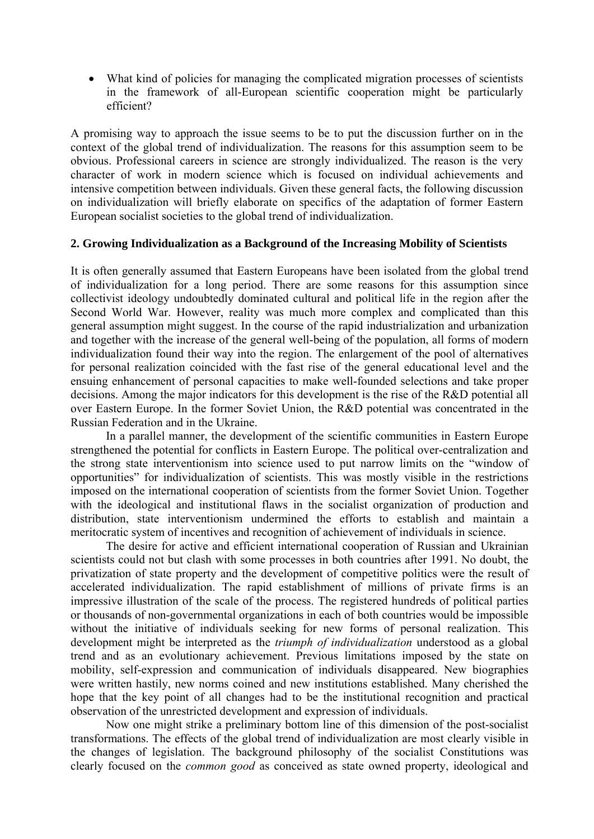• What kind of policies for managing the complicated migration processes of scientists in the framework of all-European scientific cooperation might be particularly efficient?

A promising way to approach the issue seems to be to put the discussion further on in the context of the global trend of individualization. The reasons for this assumption seem to be obvious. Professional careers in science are strongly individualized. The reason is the very character of work in modern science which is focused on individual achievements and intensive competition between individuals. Given these general facts, the following discussion on individualization will briefly elaborate on specifics of the adaptation of former Eastern European socialist societies to the global trend of individualization.

#### **2. Growing Individualization as a Background of the Increasing Mobility of Scientists**

It is often generally assumed that Eastern Europeans have been isolated from the global trend of individualization for a long period. There are some reasons for this assumption since collectivist ideology undoubtedly dominated cultural and political life in the region after the Second World War. However, reality was much more complex and complicated than this general assumption might suggest. In the course of the rapid industrialization and urbanization and together with the increase of the general well-being of the population, all forms of modern individualization found their way into the region. The enlargement of the pool of alternatives for personal realization coincided with the fast rise of the general educational level and the ensuing enhancement of personal capacities to make well-founded selections and take proper decisions. Among the major indicators for this development is the rise of the R&D potential all over Eastern Europe. In the former Soviet Union, the R&D potential was concentrated in the Russian Federation and in the Ukraine.

In a parallel manner, the development of the scientific communities in Eastern Europe strengthened the potential for conflicts in Eastern Europe. The political over-centralization and the strong state interventionism into science used to put narrow limits on the "window of opportunities" for individualization of scientists. This was mostly visible in the restrictions imposed on the international cooperation of scientists from the former Soviet Union. Together with the ideological and institutional flaws in the socialist organization of production and distribution, state interventionism undermined the efforts to establish and maintain a meritocratic system of incentives and recognition of achievement of individuals in science.

The desire for active and efficient international cooperation of Russian and Ukrainian scientists could not but clash with some processes in both countries after 1991. No doubt, the privatization of state property and the development of competitive politics were the result of accelerated individualization. The rapid establishment of millions of private firms is an impressive illustration of the scale of the process. The registered hundreds of political parties or thousands of non-governmental organizations in each of both countries would be impossible without the initiative of individuals seeking for new forms of personal realization. This development might be interpreted as the *triumph of individualization* understood as a global trend and as an evolutionary achievement. Previous limitations imposed by the state on mobility, self-expression and communication of individuals disappeared. New biographies were written hastily, new norms coined and new institutions established. Many cherished the hope that the key point of all changes had to be the institutional recognition and practical observation of the unrestricted development and expression of individuals.

Now one might strike a preliminary bottom line of this dimension of the post-socialist transformations. The effects of the global trend of individualization are most clearly visible in the changes of legislation. The background philosophy of the socialist Constitutions was clearly focused on the *common good* as conceived as state owned property, ideological and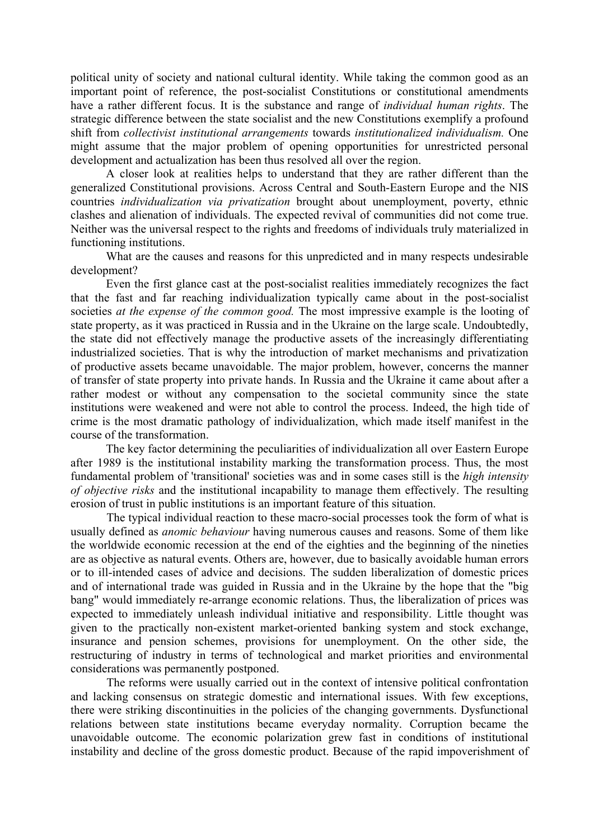political unity of society and national cultural identity. While taking the common good as an important point of reference, the post-socialist Constitutions or constitutional amendments have a rather different focus. It is the substance and range of *individual human rights*. The strategic difference between the state socialist and the new Constitutions exemplify a profound shift from *collectivist institutional arrangements* towards *institutionalized individualism.* One might assume that the major problem of opening opportunities for unrestricted personal development and actualization has been thus resolved all over the region.

 A closer look at realities helps to understand that they are rather different than the generalized Constitutional provisions. Across Central and South-Eastern Europe and the NIS countries *individualization via privatization* brought about unemployment, poverty, ethnic clashes and alienation of individuals. The expected revival of communities did not come true. Neither was the universal respect to the rights and freedoms of individuals truly materialized in functioning institutions.

 What are the causes and reasons for this unpredicted and in many respects undesirable development?

 Even the first glance cast at the post-socialist realities immediately recognizes the fact that the fast and far reaching individualization typically came about in the post-socialist societies *at the expense of the common good.* The most impressive example is the looting of state property, as it was practiced in Russia and in the Ukraine on the large scale. Undoubtedly, the state did not effectively manage the productive assets of the increasingly differentiating industrialized societies. That is why the introduction of market mechanisms and privatization of productive assets became unavoidable. The major problem, however, concerns the manner of transfer of state property into private hands. In Russia and the Ukraine it came about after a rather modest or without any compensation to the societal community since the state institutions were weakened and were not able to control the process. Indeed, the high tide of crime is the most dramatic pathology of individualization, which made itself manifest in the course of the transformation.

 The key factor determining the peculiarities of individualization all over Eastern Europe after 1989 is the institutional instability marking the transformation process. Thus, the most fundamental problem of 'transitional' societies was and in some cases still is the *high intensity of objective risks* and the institutional incapability to manage them effectively. The resulting erosion of trust in public institutions is an important feature of this situation.

The typical individual reaction to these macro-social processes took the form of what is usually defined as *anomic behaviour* having numerous causes and reasons. Some of them like the worldwide economic recession at the end of the eighties and the beginning of the nineties are as objective as natural events. Others are, however, due to basically avoidable human errors or to ill-intended cases of advice and decisions. The sudden liberalization of domestic prices and of international trade was guided in Russia and in the Ukraine by the hope that the "big bang" would immediately re-arrange economic relations. Thus, the liberalization of prices was expected to immediately unleash individual initiative and responsibility. Little thought was given to the practically non-existent market-oriented banking system and stock exchange, insurance and pension schemes, provisions for unemployment. On the other side, the restructuring of industry in terms of technological and market priorities and environmental considerations was permanently postponed.

The reforms were usually carried out in the context of intensive political confrontation and lacking consensus on strategic domestic and international issues. With few exceptions, there were striking discontinuities in the policies of the changing governments. Dysfunctional relations between state institutions became everyday normality. Corruption became the unavoidable outcome. The economic polarization grew fast in conditions of institutional instability and decline of the gross domestic product. Because of the rapid impoverishment of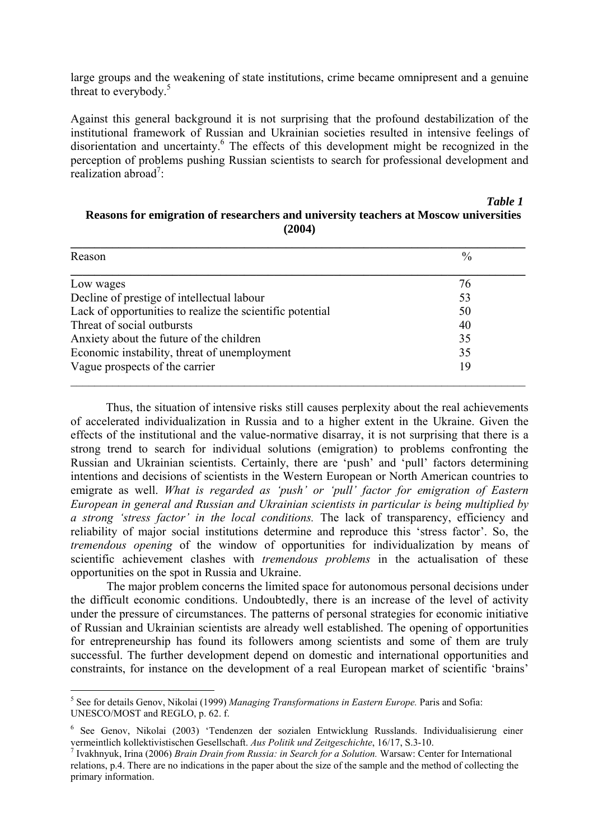large groups and the weakening of state institutions, crime became omnipresent and a genuine threat to everybody. $5$ 

Against this general background it is not surprising that the profound destabilization of the institutional framework of Russian and Ukrainian societies resulted in intensive feelings of disorientation and uncertainty.<sup>6</sup> The effects of this development might be recognized in the perception of problems pushing Russian scientists to search for professional development and realization abroad<sup>7</sup>:

 *Table 1* 

## **Reasons for emigration of researchers and university teachers at Moscow universities (2004)**

| Reason                                                    | $\frac{0}{0}$ |
|-----------------------------------------------------------|---------------|
| Low wages                                                 | 76            |
| Decline of prestige of intellectual labour                | 53            |
| Lack of opportunities to realize the scientific potential | 50            |
| Threat of social outbursts                                | 40            |
| Anxiety about the future of the children                  | 35            |
| Economic instability, threat of unemployment              | 35            |
| Vague prospects of the carrier                            | 19            |

 Thus, the situation of intensive risks still causes perplexity about the real achievements of accelerated individualization in Russia and to a higher extent in the Ukraine. Given the effects of the institutional and the value-normative disarray, it is not surprising that there is a strong trend to search for individual solutions (emigration) to problems confronting the Russian and Ukrainian scientists. Certainly, there are 'push' and 'pull' factors determining intentions and decisions of scientists in the Western European or North American countries to emigrate as well. *What is regarded as 'push' or 'pull' factor for emigration of Eastern European in general and Russian and Ukrainian scientists in particular is being multiplied by a strong 'stress factor' in the local conditions.* The lack of transparency, efficiency and reliability of major social institutions determine and reproduce this 'stress factor'. So, the *tremendous opening* of the window of opportunities for individualization by means of scientific achievement clashes with *tremendous problems* in the actualisation of these opportunities on the spot in Russia and Ukraine.

The major problem concerns the limited space for autonomous personal decisions under the difficult economic conditions. Undoubtedly, there is an increase of the level of activity under the pressure of circumstances. The patterns of personal strategies for economic initiative of Russian and Ukrainian scientists are already well established. The opening of opportunities for entrepreneurship has found its followers among scientists and some of them are truly successful. The further development depend on domestic and international opportunities and constraints, for instance on the development of a real European market of scientific 'brains'

1

<sup>5</sup> See for details Genov, Nikolai (1999) *Managing Transformations in Eastern Europe.* Paris and Sofia: UNESCO/MOST and REGLO, p. 62. f.

<sup>6</sup> See Genov, Nikolai (2003) 'Tendenzen der sozialen Entwicklung Russlands. Individualisierung einer vermeintlich kollektivistischen Gesellschaft. Aus Politik und Zeitgeschichte, 16/17, S.3-10.

<sup>&</sup>lt;sup>7</sup> Ivakhnyuk, Irina (2006) *Brain Drain from Russia: in Search for a Solution*. Warsaw: Center for International relations, p.4. There are no indications in the paper about the size of the sample and the method of collecting the primary information.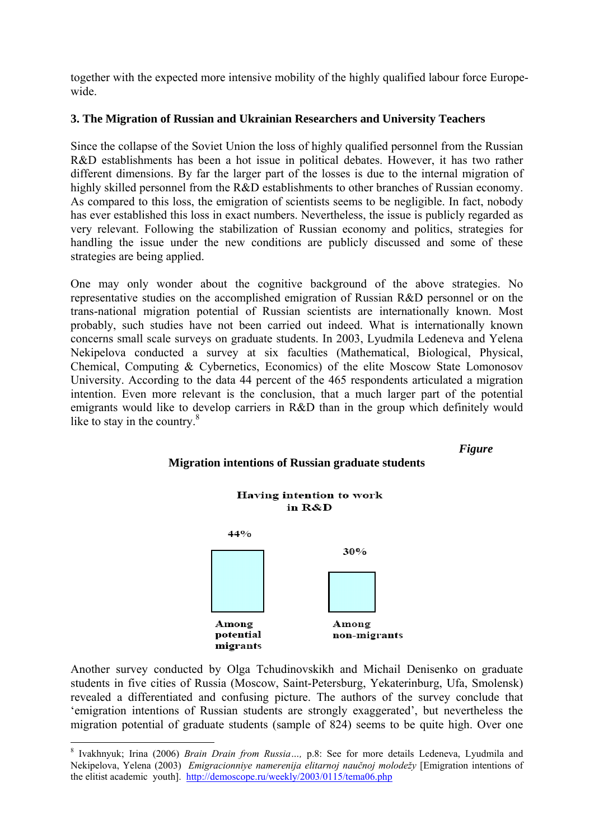together with the expected more intensive mobility of the highly qualified labour force Europewide.

## **3. The Migration of Russian and Ukrainian Researchers and University Teachers**

Since the collapse of the Soviet Union the loss of highly qualified personnel from the Russian R&D establishments has been a hot issue in political debates. However, it has two rather different dimensions. By far the larger part of the losses is due to the internal migration of highly skilled personnel from the R&D establishments to other branches of Russian economy. As compared to this loss, the emigration of scientists seems to be negligible. In fact, nobody has ever established this loss in exact numbers. Nevertheless, the issue is publicly regarded as very relevant. Following the stabilization of Russian economy and politics, strategies for handling the issue under the new conditions are publicly discussed and some of these strategies are being applied.

One may only wonder about the cognitive background of the above strategies. No representative studies on the accomplished emigration of Russian R&D personnel or on the trans-national migration potential of Russian scientists are internationally known. Most probably, such studies have not been carried out indeed. What is internationally known concerns small scale surveys on graduate students. In 2003, Lyudmila Ledeneva and Yelena Nekipelova conducted a survey at six faculties (Mathematical, Biological, Physical, Chemical, Computing & Cybernetics, Economics) of the elite Moscow State Lomonosov University. According to the data 44 percent of the 465 respondents articulated a migration intention. Even more relevant is the conclusion, that a much larger part of the potential emigrants would like to develop carriers in R&D than in the group which definitely would like to stay in the country.<sup>8</sup>

*Figure* 



Another survey conducted by Olga Tchudinovskikh and Michail Denisenko on graduate students in five cities of Russia (Moscow, Saint-Petersburg, Yekaterinburg, Ufa, Smolensk) revealed a differentiated and confusing picture. The authors of the survey conclude that 'emigration intentions of Russian students are strongly exaggerated', but nevertheless the migration potential of graduate students (sample of 824) seems to be quite high. Over one

1

## **Migration intentions of Russian graduate students**

<sup>8</sup> Ivakhnyuk; Irina (2006) *Brain Drain from Russia…,* p.8: See for more details Ledeneva, Lyudmila and Nekipelova, Yelena (2003) *Emigracionniye namerenija elitarnoj naučnoj molodežy* [Emigration intentions of the elitist academic youth]. http://demoscope.ru/weekly/2003/0115/tema06.php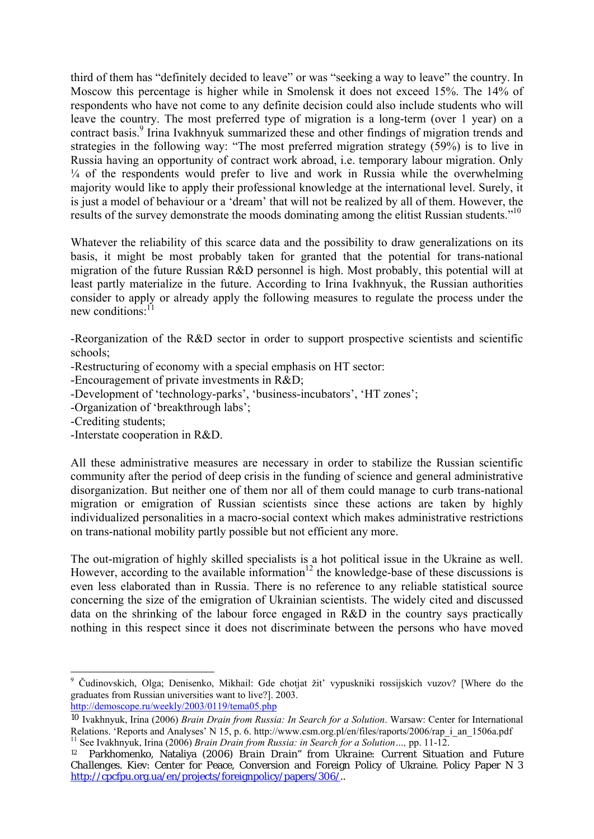third of them has "definitely decided to leave" or was "seeking a way to leave" the country. In Moscow this percentage is higher while in Smolensk it does not exceed 15%. The 14% of respondents who have not come to any definite decision could also include students who will leave the country. The most preferred type of migration is a long-term (over 1 year) on a contract basis.<sup>9</sup> Irina Ivakhnyuk summarized these and other findings of migration trends and strategies in the following way: "The most preferred migration strategy (59%) is to live in Russia having an opportunity of contract work abroad, i.e. temporary labour migration. Only  $\frac{1}{4}$  of the respondents would prefer to live and work in Russia while the overwhelming majority would like to apply their professional knowledge at the international level. Surely, it is just a model of behaviour or a 'dream' that will not be realized by all of them. However, the results of the survey demonstrate the moods dominating among the elitist Russian students."<sup>10</sup>

Whatever the reliability of this scarce data and the possibility to draw generalizations on its basis, it might be most probably taken for granted that the potential for trans-national migration of the future Russian R&D personnel is high. Most probably, this potential will at least partly materialize in the future. According to Irina Ivakhnyuk, the Russian authorities consider to apply or already apply the following measures to regulate the process under the new conditions: $11$ 

-Reorganization of the R&D sector in order to support prospective scientists and scientific schools;

- -Restructuring of economy with a special emphasis on HT sector:
- -Encouragement of private investments in R&D;
- -Development of 'technology-parks', 'business-incubators', 'HT zones';
- -Organization of 'breakthrough labs';
- -Crediting students;

1

-Interstate cooperation in R&D.

All these administrative measures are necessary in order to stabilize the Russian scientific community after the period of deep crisis in the funding of science and general administrative disorganization. But neither one of them nor all of them could manage to curb trans-national migration or emigration of Russian scientists since these actions are taken by highly individualized personalities in a macro-social context which makes administrative restrictions on trans-national mobility partly possible but not efficient any more.

The out-migration of highly skilled specialists is a hot political issue in the Ukraine as well. However, according to the available information<sup>12</sup> the knowledge-base of these discussions is even less elaborated than in Russia. There is no reference to any reliable statistical source concerning the size of the emigration of Ukrainian scientists. The widely cited and discussed data on the shrinking of the labour force engaged in R&D in the country says practically nothing in this respect since it does not discriminate between the persons who have moved

Čudinovskich, Olga; Denisenko, Mikhail: Gde chotjat žit' vypuskniki rossijskich vuzov? [Where do the graduates from Russian universities want to live?]. 2003. http://demoscope.ru/weekly/2003/0119/tema05.php

<sup>10</sup> Ivakhnyuk, Irina (2006) *Brain Drain from Russia: In Search for a Solution*. Warsaw: Center for International <sup>11</sup> See Ivakhnyuk, Irina (2006) *Brain Drain from Russia: in Search for a Solution* ..., pp. 11-12.

<sup>12</sup> Parkhomenko, Nataliya (2006) *Brain Drain" from Ukraine: Current Situation and Future Challenges*. Kiev: Center for Peace, Conversion and Foreign Policy of Ukraine. Policy Paper N 3 http://cpcfpu.org.ua/en/projects/foreignpolicy/papers/306/..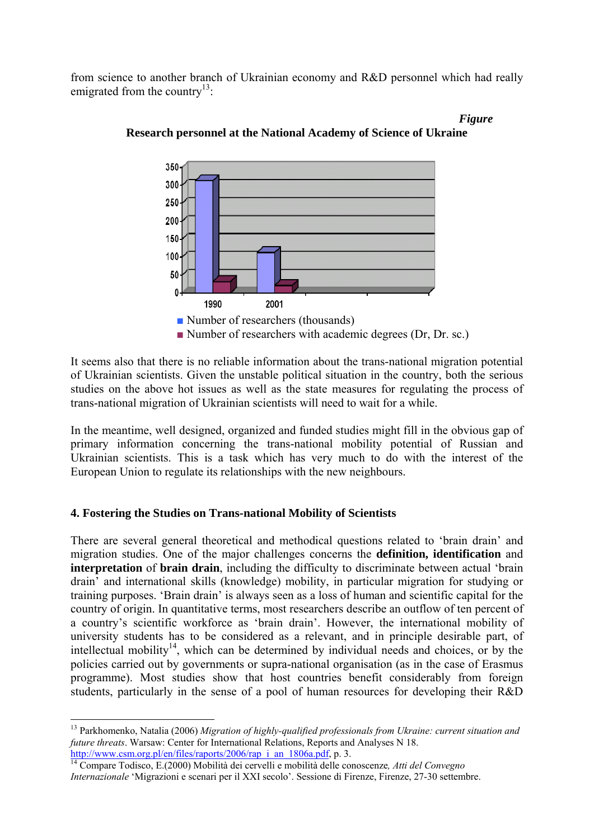from science to another branch of Ukrainian economy and R&D personnel which had really emigrated from the country<sup>13</sup>:



*Figure*  **Research personnel at the National Academy of Science of Ukraine** 

It seems also that there is no reliable information about the trans-national migration potential of Ukrainian scientists. Given the unstable political situation in the country, both the serious studies on the above hot issues as well as the state measures for regulating the process of trans-national migration of Ukrainian scientists will need to wait for a while.

In the meantime, well designed, organized and funded studies might fill in the obvious gap of primary information concerning the trans-national mobility potential of Russian and Ukrainian scientists. This is a task which has very much to do with the interest of the European Union to regulate its relationships with the new neighbours.

#### **4. Fostering the Studies on Trans-national Mobility of Scientists**

1

There are several general theoretical and methodical questions related to 'brain drain' and migration studies. One of the major challenges concerns the **definition, identification** and **interpretation** of **brain drain**, including the difficulty to discriminate between actual 'brain drain' and international skills (knowledge) mobility, in particular migration for studying or training purposes. 'Brain drain' is always seen as a loss of human and scientific capital for the country of origin. In quantitative terms, most researchers describe an outflow of ten percent of a country's scientific workforce as 'brain drain'. However, the international mobility of university students has to be considered as a relevant, and in principle desirable part, of intellectual mobility<sup>14</sup>, which can be determined by individual needs and choices, or by the policies carried out by governments or supra-national organisation (as in the case of Erasmus programme). Most studies show that host countries benefit considerably from foreign students, particularly in the sense of a pool of human resources for developing their R&D

<sup>13</sup> Parkhomenko, Natalia (2006) *Migration of highly-qualified professionals from Ukraine: current situation and future threats*. Warsaw: Center for International Relations, Reports and Analyses N 18.

http://www.csm.org.pl/en/files/raports/2006/rap\_i\_an\_1806a.pdf, p. 3. 14 Compare Todisco, E.(2000) Mobilità dei cervelli e mobilità delle conoscenze*, Atti del Convegno Internazionale* 'Migrazioni e scenari per il XXI secolo'. Sessione di Firenze, Firenze, 27-30 settembre.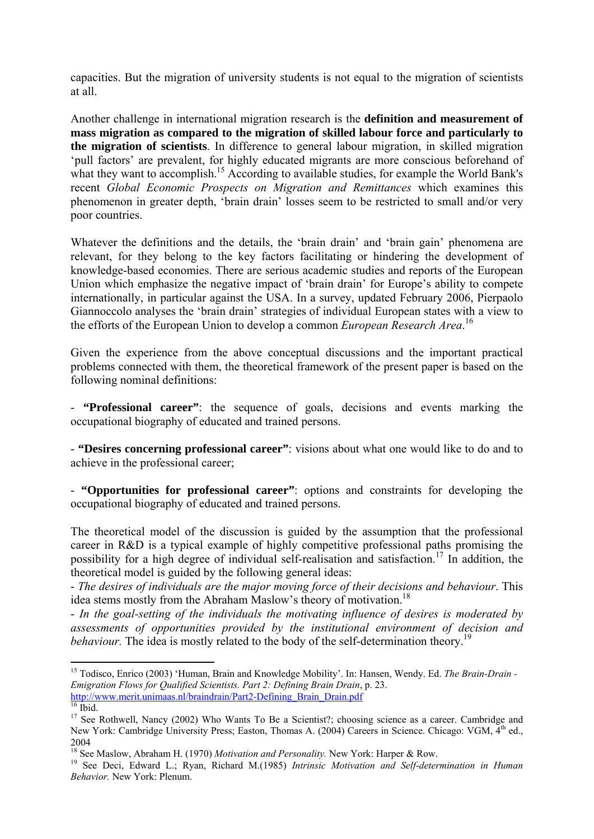capacities. But the migration of university students is not equal to the migration of scientists at all.

Another challenge in international migration research is the **definition and measurement of mass migration as compared to the migration of skilled labour force and particularly to the migration of scientists**. In difference to general labour migration, in skilled migration 'pull factors' are prevalent, for highly educated migrants are more conscious beforehand of what they want to accomplish.<sup>15</sup> According to available studies, for example the World Bank's recent *Global Economic Prospects on Migration and Remittances* which examines this phenomenon in greater depth, 'brain drain' losses seem to be restricted to small and/or very poor countries.

Whatever the definitions and the details, the 'brain drain' and 'brain gain' phenomena are relevant, for they belong to the key factors facilitating or hindering the development of knowledge-based economies. There are serious academic studies and reports of the European Union which emphasize the negative impact of 'brain drain' for Europe's ability to compete internationally, in particular against the USA. In a survey, updated February 2006, Pierpaolo Giannoccolo analyses the 'brain drain' strategies of individual European states with a view to the efforts of the European Union to develop a common *European Research Area*. 16

Given the experience from the above conceptual discussions and the important practical problems connected with them, the theoretical framework of the present paper is based on the following nominal definitions:

- **"Professional career"**: the sequence of goals, decisions and events marking the occupational biography of educated and trained persons.

- **"Desires concerning professional career"**: visions about what one would like to do and to achieve in the professional career;

- **"Opportunities for professional career"**: options and constraints for developing the occupational biography of educated and trained persons.

The theoretical model of the discussion is guided by the assumption that the professional career in R&D is a typical example of highly competitive professional paths promising the possibility for a high degree of individual self-realisation and satisfaction.<sup>17</sup> In addition, the theoretical model is guided by the following general ideas:

- *The desires of individuals are the major moving force of their decisions and behaviour*. This idea stems mostly from the Abraham Maslow's theory of motivation.<sup>18</sup>

- *In the goal-setting of the individuals the motivating influence of desires is moderated by assessments of opportunities provided by the institutional environment of decision and behaviour.* The idea is mostly related to the body of the self-determination theory.<sup>19</sup>

http://www.merit.unimaas.nl/braindrain/Part2-Defining\_Brain\_Drain.pdf 16 Ibid.

<sup>1</sup> 15 Todisco, Enrico (2003) 'Human, Brain and Knowledge Mobility'. In: Hansen, Wendy. Ed. *The Brain-Drain - Emigration Flows for Qualified Scientists. Part 2: Defining Brain Drain*, p. 23.

<sup>&</sup>lt;sup>17</sup> See Rothwell, Nancy (2002) Who Wants To Be a Scientist?; choosing science as a career. Cambridge and New York: Cambridge University Press; Easton, Thomas A. (2004) Careers in Science. Chicago: VGM, 4<sup>th</sup> ed., 2004<br><sup>18</sup> See Maslow, Abraham H. (1970) *Motivation and Personality*. New York: Harper & Row.

<sup>19</sup> See Deci, Edward L.; Ryan, Richard M.(1985) *Intrinsic Motivation and Self-determination in Human* <sup>19</sup> See Deci, Edward L.; Ryan, Richard M.(1985) *Intrinsic Motivation and Self-determination in Human Behavior.* New York: Plenum.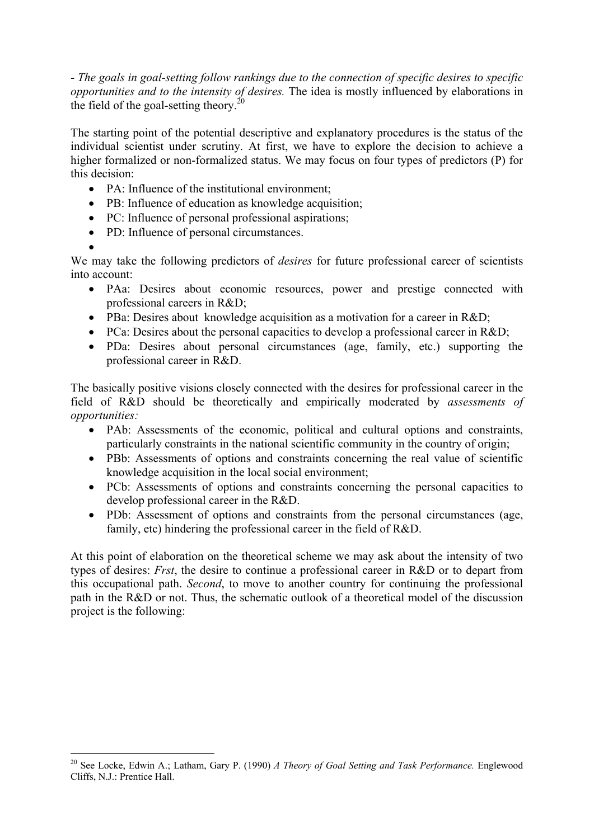- *The goals in goal-setting follow rankings due to the connection of specific desires to specific opportunities and to the intensity of desires.* The idea is mostly influenced by elaborations in the field of the goal-setting theory.<sup>20</sup>

The starting point of the potential descriptive and explanatory procedures is the status of the individual scientist under scrutiny. At first, we have to explore the decision to achieve a higher formalized or non-formalized status. We may focus on four types of predictors (P) for this decision:

- PA: Influence of the institutional environment:
- PB: Influence of education as knowledge acquisition;
- PC: Influence of personal professional aspirations;
- PD: Influence of personal circumstances.
- •

1

We may take the following predictors of *desires* for future professional career of scientists into account:

- PAa: Desires about economic resources, power and prestige connected with professional careers in R&D;
- PBa: Desires about knowledge acquisition as a motivation for a career in R&D;
- PCa: Desires about the personal capacities to develop a professional career in R&D;
- PDa: Desires about personal circumstances (age, family, etc.) supporting the professional career in R&D.

The basically positive visions closely connected with the desires for professional career in the field of R&D should be theoretically and empirically moderated by *assessments of opportunities:*

- PAb: Assessments of the economic, political and cultural options and constraints, particularly constraints in the national scientific community in the country of origin;
- PBb: Assessments of options and constraints concerning the real value of scientific knowledge acquisition in the local social environment;
- PCb: Assessments of options and constraints concerning the personal capacities to develop professional career in the R&D.
- PDb: Assessment of options and constraints from the personal circumstances (age, family, etc) hindering the professional career in the field of R&D.

At this point of elaboration on the theoretical scheme we may ask about the intensity of two types of desires: *Frst*, the desire to continue a professional career in R&D or to depart from this occupational path. *Second*, to move to another country for continuing the professional path in the R&D or not. Thus, the schematic outlook of a theoretical model of the discussion project is the following:

<sup>20</sup> See Locke, Edwin A.; Latham, Gary P. (1990) *A Theory of Goal Setting and Task Performance.* Englewood Cliffs, N.J.: Prentice Hall.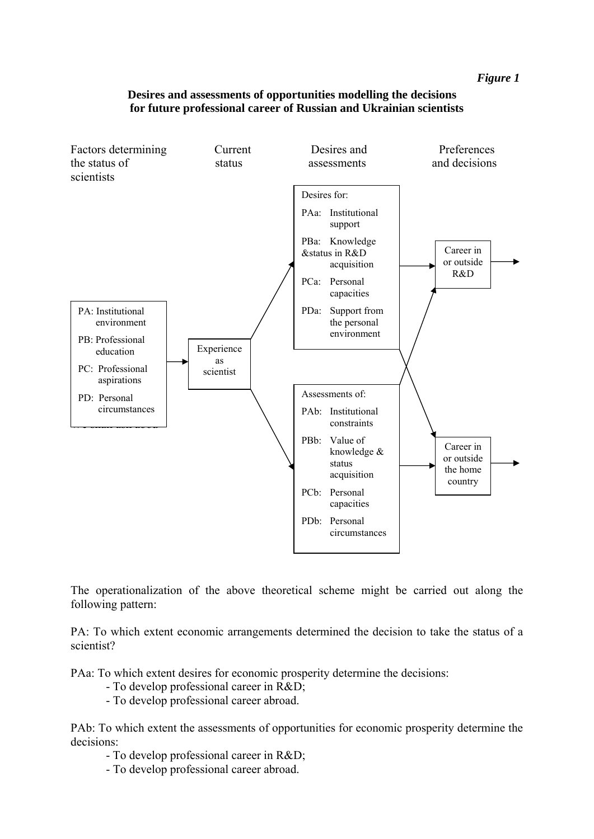*Figure 1* 

#### **Desires and assessments of opportunities modelling the decisions for future professional career of Russian and Ukrainian scientists**



The operationalization of the above theoretical scheme might be carried out along the following pattern:

PA: To which extent economic arrangements determined the decision to take the status of a scientist?

PAa: To which extent desires for economic prosperity determine the decisions:

- To develop professional career in R&D;
- To develop professional career abroad.

PAb: To which extent the assessments of opportunities for economic prosperity determine the decisions:

- To develop professional career in R&D;
- To develop professional career abroad.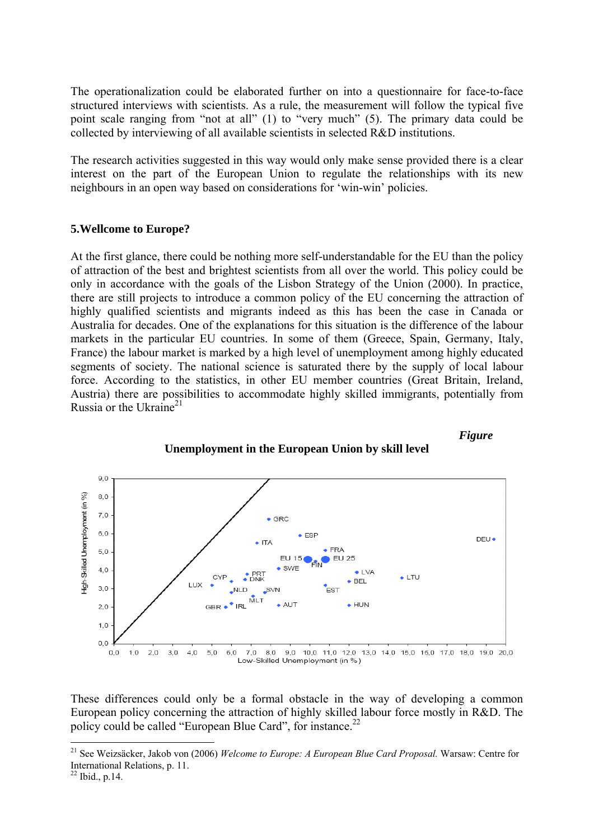The operationalization could be elaborated further on into a questionnaire for face-to-face structured interviews with scientists. As a rule, the measurement will follow the typical five point scale ranging from "not at all" (1) to "very much" (5). The primary data could be collected by interviewing of all available scientists in selected R&D institutions.

The research activities suggested in this way would only make sense provided there is a clear interest on the part of the European Union to regulate the relationships with its new neighbours in an open way based on considerations for 'win-win' policies.

#### **5.Wellcome to Europe?**

At the first glance, there could be nothing more self-understandable for the EU than the policy of attraction of the best and brightest scientists from all over the world. This policy could be only in accordance with the goals of the Lisbon Strategy of the Union (2000). In practice, there are still projects to introduce a common policy of the EU concerning the attraction of highly qualified scientists and migrants indeed as this has been the case in Canada or Australia for decades. One of the explanations for this situation is the difference of the labour markets in the particular EU countries. In some of them (Greece, Spain, Germany, Italy, France) the labour market is marked by a high level of unemployment among highly educated segments of society. The national science is saturated there by the supply of local labour force. According to the statistics, in other EU member countries (Great Britain, Ireland, Austria) there are possibilities to accommodate highly skilled immigrants, potentially from Russia or the Ukraine $^{21}$ 

#### *Figure*



**Unemployment in the European Union by skill level** 

These differences could only be a formal obstacle in the way of developing a common European policy concerning the attraction of highly skilled labour force mostly in R&D. The policy could be called "European Blue Card", for instance.<sup>22</sup>

1

<sup>21</sup> See Weizsäcker, Jakob von (2006) *Welcome to Europe: A European Blue Card Proposal.* Warsaw: Centre for International Relations, p. 11.

<sup>22</sup> Ibid., p.14.